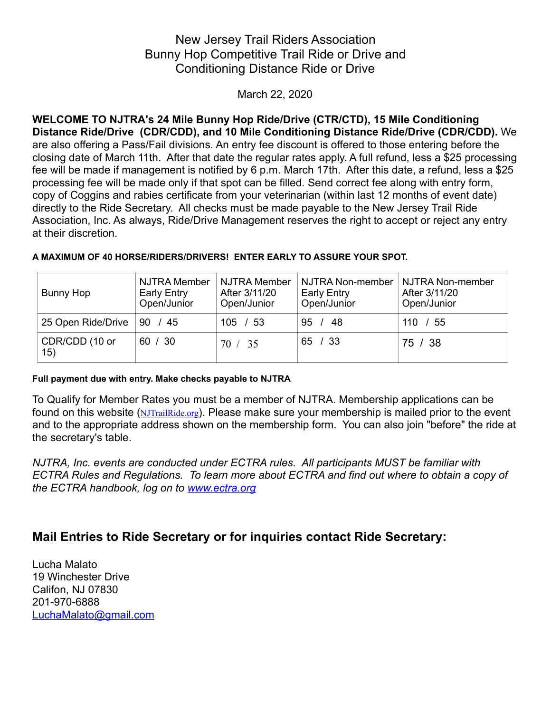## New Jersey Trail Riders Association Bunny Hop Competitive Trail Ride or Drive and Conditioning Distance Ride or Drive

March 22, 2020

**WELCOME TO NJTRA's 24 Mile Bunny Hop Ride/Drive (CTR/CTD), 15 Mile Conditioning Distance Ride/Drive (CDR/CDD), and 10 Mile Conditioning Distance Ride/Drive (CDR/CDD).** We are also offering a Pass/Fail divisions. An entry fee discount is offered to those entering before the closing date of March 11th. After that date the regular rates apply. A full refund, less a \$25 processing fee will be made if management is notified by 6 p.m. March 17th. After this date, a refund, less a \$25 processing fee will be made only if that spot can be filled. Send correct fee along with entry form, copy of Coggins and rabies certificate from your veterinarian (within last 12 months of event date) directly to the Ride Secretary. All checks must be made payable to the New Jersey Trail Ride Association, Inc. As always, Ride/Drive Management reserves the right to accept or reject any entry at their discretion.

| Bunny Hop             | NJTRA Member<br>Early Entry<br>Open/Junior | NJTRA Member<br>After 3/11/20<br>Open/Junior | NJTRA Non-member<br>Early Entry<br>Open/Junior | NJTRA Non-member<br>After 3/11/20<br>Open/Junior |
|-----------------------|--------------------------------------------|----------------------------------------------|------------------------------------------------|--------------------------------------------------|
| 25 Open Ride/Drive    | 90 / 45                                    | 105 / 53                                     | 95.<br>48                                      | 110 / 55                                         |
| CDR/CDD (10 or<br>15) | 60 / 30                                    | 70 / 35                                      | 65 / 33                                        | 75 / 38                                          |

#### **A MAXIMUM OF 40 HORSE/RIDERS/DRIVERS! ENTER EARLY TO ASSURE YOUR SPOT.**

#### **Full payment due with entry. Make checks payable to NJTRA**

To Qualify for Member Rates you must be a member of NJTRA. Membership applications can be found on this website ([NJTrailRide.org](http://njtrailride.org)). Please make sure your membership is mailed prior to the event and to the appropriate address shown on the membership form. You can also join "before" the ride at the secretary's table.

*NJTRA, Inc. events are conducted under ECTRA rules. All participants MUST be familiar with ECTRA Rules and Regulations. To learn more about ECTRA and find out where to obtain a copy of the ECTRA handbook, log on to [www.ectra.org](http://www.ectra.org)*

## **Mail Entries to Ride Secretary or for inquiries contact Ride Secretary:**

Lucha Malato 19 Winchester Drive Califon, NJ 07830 201-970-6888 [LuchaMalato@gmail.com](mailto:LuchaMalato@gmail.com)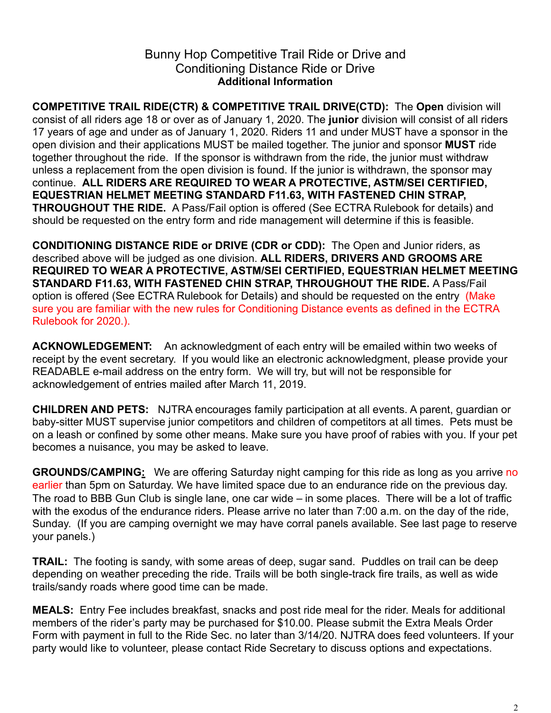## Bunny Hop Competitive Trail Ride or Drive and Conditioning Distance Ride or Drive **Additional Information**

**COMPETITIVE TRAIL RIDE(CTR) & COMPETITIVE TRAIL DRIVE(CTD):** The **Open** division will consist of all riders age 18 or over as of January 1, 2020. The **junior** division will consist of all riders 17 years of age and under as of January 1, 2020. Riders 11 and under MUST have a sponsor in the open division and their applications MUST be mailed together. The junior and sponsor **MUST** ride together throughout the ride. If the sponsor is withdrawn from the ride, the junior must withdraw unless a replacement from the open division is found. If the junior is withdrawn, the sponsor may continue. **ALL RIDERS ARE REQUIRED TO WEAR A PROTECTIVE, ASTM/SEI CERTIFIED, EQUESTRIAN HELMET MEETING STANDARD F11.63, WITH FASTENED CHIN STRAP, THROUGHOUT THE RIDE.** A Pass/Fail option is offered (See ECTRA Rulebook for details) and should be requested on the entry form and ride management will determine if this is feasible.

**CONDITIONING DISTANCE RIDE or DRIVE (CDR or CDD):** The Open and Junior riders, as described above will be judged as one division. **ALL RIDERS, DRIVERS AND GROOMS ARE REQUIRED TO WEAR A PROTECTIVE, ASTM/SEI CERTIFIED, EQUESTRIAN HELMET MEETING STANDARD F11.63, WITH FASTENED CHIN STRAP, THROUGHOUT THE RIDE.** A Pass/Fail option is offered (See ECTRA Rulebook for Details) and should be requested on the entry (Make sure you are familiar with the new rules for Conditioning Distance events as defined in the ECTRA Rulebook for 2020.).

**ACKNOWLEDGEMENT:** An acknowledgment of each entry will be emailed within two weeks of receipt by the event secretary. If you would like an electronic acknowledgment, please provide your READABLE e-mail address on the entry form. We will try, but will not be responsible for acknowledgement of entries mailed after March 11, 2019.

**CHILDREN AND PETS:** NJTRA encourages family participation at all events. A parent, guardian or baby-sitter MUST supervise junior competitors and children of competitors at all times. Pets must be on a leash or confined by some other means. Make sure you have proof of rabies with you. If your pet becomes a nuisance, you may be asked to leave.

**GROUNDS/CAMPING:** We are offering Saturday night camping for this ride as long as you arrive no earlier than 5pm on Saturday. We have limited space due to an endurance ride on the previous day. The road to BBB Gun Club is single lane, one car wide – in some places. There will be a lot of traffic with the exodus of the endurance riders. Please arrive no later than 7:00 a.m. on the day of the ride, Sunday. (If you are camping overnight we may have corral panels available. See last page to reserve your panels.)

**TRAIL:** The footing is sandy, with some areas of deep, sugar sand. Puddles on trail can be deep depending on weather preceding the ride. Trails will be both single-track fire trails, as well as wide trails/sandy roads where good time can be made.

**MEALS:** Entry Fee includes breakfast, snacks and post ride meal for the rider. Meals for additional members of the rider's party may be purchased for \$10.00. Please submit the Extra Meals Order Form with payment in full to the Ride Sec. no later than 3/14/20. NJTRA does feed volunteers. If your party would like to volunteer, please contact Ride Secretary to discuss options and expectations.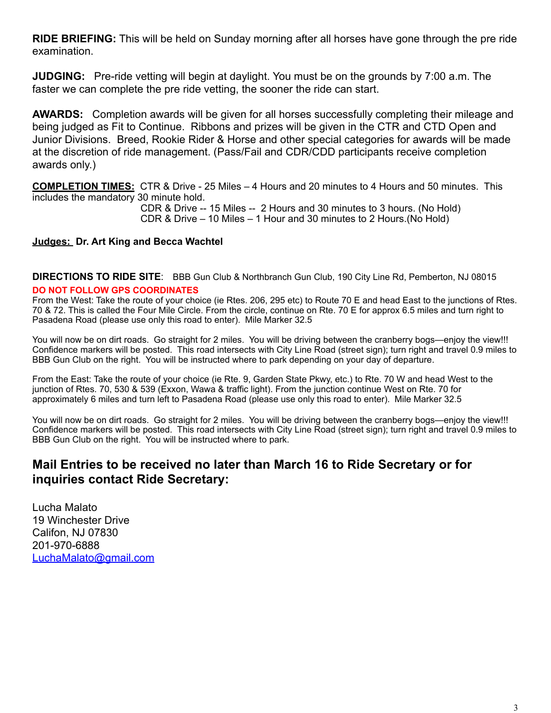**RIDE BRIEFING:** This will be held on Sunday morning after all horses have gone through the pre ride examination.

**JUDGING:** Pre-ride vetting will begin at daylight. You must be on the grounds by 7:00 a.m. The faster we can complete the pre ride vetting, the sooner the ride can start.

**AWARDS:** Completion awards will be given for all horses successfully completing their mileage and being judged as Fit to Continue. Ribbons and prizes will be given in the CTR and CTD Open and Junior Divisions. Breed, Rookie Rider & Horse and other special categories for awards will be made at the discretion of ride management. (Pass/Fail and CDR/CDD participants receive completion awards only.)

**COMPLETION TIMES:** CTR & Drive - 25 Miles – 4 Hours and 20 minutes to 4 Hours and 50 minutes. This includes the mandatory 30 minute hold.

 CDR & Drive -- 15 Miles -- 2 Hours and 30 minutes to 3 hours. (No Hold) CDR & Drive – 10 Miles – 1 Hour and 30 minutes to 2 Hours.(No Hold)

#### **Judges: Dr. Art King and Becca Wachtel**

**DIRECTIONS TO RIDE SITE**: BBB Gun Club & Northbranch Gun Club, 190 City Line Rd, Pemberton, NJ 08015

#### **DO NOT FOLLOW GPS COORDINATES**

From the West: Take the route of your choice (ie Rtes. 206, 295 etc) to Route 70 E and head East to the junctions of Rtes. 70 & 72. This is called the Four Mile Circle. From the circle, continue on Rte. 70 E for approx 6.5 miles and turn right to Pasadena Road (please use only this road to enter). Mile Marker 32.5

You will now be on dirt roads. Go straight for 2 miles. You will be driving between the cranberry bogs—enjoy the view!!! Confidence markers will be posted. This road intersects with City Line Road (street sign); turn right and travel 0.9 miles to BBB Gun Club on the right. You will be instructed where to park depending on your day of departure.

From the East: Take the route of your choice (ie Rte. 9, Garden State Pkwy, etc.) to Rte. 70 W and head West to the junction of Rtes. 70, 530 & 539 (Exxon, Wawa & traffic light). From the junction continue West on Rte. 70 for approximately 6 miles and turn left to Pasadena Road (please use only this road to enter). Mile Marker 32.5

You will now be on dirt roads. Go straight for 2 miles. You will be driving between the cranberry bogs—enjoy the view!!! Confidence markers will be posted. This road intersects with City Line Road (street sign); turn right and travel 0.9 miles to BBB Gun Club on the right. You will be instructed where to park.

## **Mail Entries to be received no later than March 16 to Ride Secretary or for inquiries contact Ride Secretary:**

Lucha Malato 19 Winchester Drive Califon, NJ 07830 201-970-6888 [LuchaMalato@gmail.com](mailto:lmalato@hudsonreporter.com)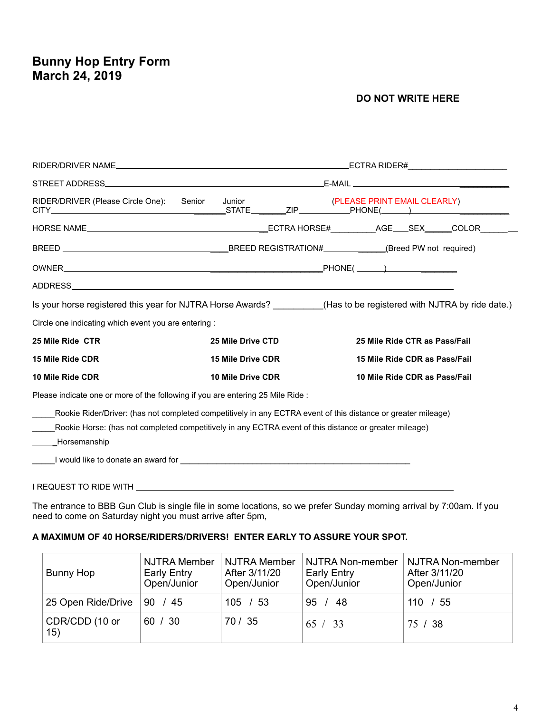# **Bunny Hop Entry Form March 24, 2019**

#### **DO NOT WRITE HERE**

|                                                                                                                                                                                                                                      |                          | _ECTRA RIDER#________________________                                                                                |  |
|--------------------------------------------------------------------------------------------------------------------------------------------------------------------------------------------------------------------------------------|--------------------------|----------------------------------------------------------------------------------------------------------------------|--|
|                                                                                                                                                                                                                                      |                          |                                                                                                                      |  |
| RIDER/DRIVER (Please Circle One):<br>Senior                                                                                                                                                                                          | Junior                   | (PLEASE PRINT EMAIL CLEARLY)                                                                                         |  |
|                                                                                                                                                                                                                                      |                          |                                                                                                                      |  |
|                                                                                                                                                                                                                                      |                          |                                                                                                                      |  |
|                                                                                                                                                                                                                                      |                          |                                                                                                                      |  |
|                                                                                                                                                                                                                                      |                          |                                                                                                                      |  |
|                                                                                                                                                                                                                                      |                          | Is your horse registered this year for NJTRA Horse Awards? __________(Has to be registered with NJTRA by ride date.) |  |
| Circle one indicating which event you are entering :                                                                                                                                                                                 |                          |                                                                                                                      |  |
| 25 Mile Ride CTR                                                                                                                                                                                                                     | 25 Mile Drive CTD        | 25 Mile Ride CTR as Pass/Fail                                                                                        |  |
| 15 Mile Ride CDR                                                                                                                                                                                                                     | <b>15 Mile Drive CDR</b> | 15 Mile Ride CDR as Pass/Fail                                                                                        |  |
| 10 Mile Ride CDR                                                                                                                                                                                                                     | 10 Mile Drive CDR        | 10 Mile Ride CDR as Pass/Fail                                                                                        |  |
| Please indicate one or more of the following if you are entering 25 Mile Ride :                                                                                                                                                      |                          |                                                                                                                      |  |
| Rookie Rider/Driver: (has not completed competitively in any ECTRA event of this distance or greater mileage)                                                                                                                        |                          |                                                                                                                      |  |
| Rookie Horse: (has not completed competitively in any ECTRA event of this distance or greater mileage)                                                                                                                               |                          |                                                                                                                      |  |
| ____Horsemanship                                                                                                                                                                                                                     |                          |                                                                                                                      |  |
| I would like to donate an award for <b>container the container and container the contact of the contact of the contact of the contact of the contact of the contact of the contact of the contact of the contact of the contact </b> |                          |                                                                                                                      |  |
| I REQUEST TO RIDE WITH                                                                                                                                                                                                               |                          |                                                                                                                      |  |

The entrance to BBB Gun Club is single file in some locations, so we prefer Sunday morning arrival by 7:00am. If you need to come on Saturday night you must arrive after 5pm,

#### **A MAXIMUM OF 40 HORSE/RIDERS/DRIVERS! ENTER EARLY TO ASSURE YOUR SPOT.**

| Bunny Hop             | <b>NJTRA Member</b><br>Early Entry<br>Open/Junior | NJTRA Member<br>After 3/11/20<br>Open/Junior | NJTRA Non-member<br><b>Early Entry</b><br>Open/Junior | NJTRA Non-member<br>After 3/11/20<br>Open/Junior |
|-----------------------|---------------------------------------------------|----------------------------------------------|-------------------------------------------------------|--------------------------------------------------|
| 25 Open Ride/Drive    | 90 / 45                                           | 105 / 53                                     | 95.<br>48                                             | 110 / 55                                         |
| CDR/CDD (10 or<br>15) | 60 / 30                                           | 70 / 35                                      | 65 / 33                                               | 75 / 38                                          |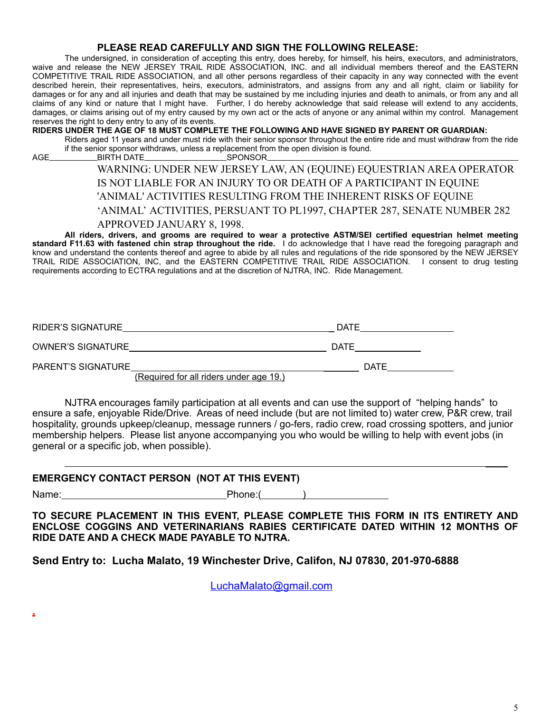#### **PLEASE READ CAREFULLY AND SIGN THE FOLLOWING RELEASE:**

The undersigned, in consideration of accepting this entry, does hereby, for himself, his heirs, executors, and administrators, waive and release the NEW JERSEY TRAIL RIDE ASSOCIATION, INC. and all individual members thereof and the EASTERN COMPETITIVE TRAIL RIDE ASSOCIATION, and all other persons regardless of their capacity in any way connected with the event described herein, their representatives, heirs, executors, administrators, and assigns from any and all right, claim or liability for damages or for any and all injuries and death that may be sustained by me including injuries and death to animals, or from any and all claims of any kind or nature that I might have. Further, I do hereby acknowledge that said release will extend to any accidents, damages, or claims arising out of my entry caused by my own act or the acts of anyone or any animal within my control. Management reserves the right to deny entry to any of its events.

#### **RIDERS UNDER THE AGE OF 18 MUST COMPLETE THE FOLLOWING AND HAVE SIGNED BY PARENT OR GUARDIAN:**

Riders aged 11 years and under must ride with their senior sponsor throughout the entire ride and must withdraw from the ride if the senior sponsor withdraws, unless a replacement from the open division is found.

AGE BIRTH DATE

### WARNING: UNDER NEW JERSEY LAW, AN (EQUINE) EQUESTRIAN AREA OPERATOR IS NOT LIABLE FOR AN INJURY TO OR DEATH OF A PARTICIPANT IN EQUINE 'ANIMAL' ACTIVITIES RESULTING FROM THE INHERENT RISKS OF EQUINE 'ANIMAL' ACTIVITIES, PERSUANT TO PL1997, CHAPTER 287, SENATE NUMBER 282 APPROVED JANUARY 8, 1998.

**All riders, drivers, and grooms are required to wear a protective ASTM/SEI certified equestrian helmet meeting standard F11.63 with fastened chin strap throughout the ride.** I do acknowledge that I have read the foregoing paragraph and know and understand the contents thereof and agree to abide by all rules and regulations of the ride sponsored by the NEW JERSEY TRAIL RIDE ASSOCIATION, INC, and the EASTERN COMPETITIVE TRAIL RIDE ASSOCIATION. I consent to drug testing requirements according to ECTRA regulations and at the discretion of NJTRA, INC. Ride Management.

| <b>RIDER'S SIGNATURE</b> | DATE |
|--------------------------|------|
| OWNER'S SIGNATURE        | DATE |
| PARENT'S SIGNATURE       | DATE |

(Required for all riders under age 19.)

NJTRA encourages family participation at all events and can use the support of "helping hands" to ensure a safe, enjoyable Ride/Drive. Areas of need include (but are not limited to) water crew, P&R crew, trail hospitality, grounds upkeep/cleanup, message runners / go-fers, radio crew, road crossing spotters, and junior membership helpers. Please list anyone accompanying you who would be willing to help with event jobs (in general or a specific job, when possible).

#### **EMERGENCY CONTACT PERSON (NOT AT THIS EVENT)**

**.**

Name: Phone: ( )

 $\overline{\phantom{a}}$  , and the contract of the contract of the contract of the contract of the contract of the contract of the contract of the contract of the contract of the contract of the contract of the contract of the contrac

**TO SECURE PLACEMENT IN THIS EVENT, PLEASE COMPLETE THIS FORM IN ITS ENTIRETY AND ENCLOSE COGGINS AND VETERINARIANS RABIES CERTIFICATE DATED WITHIN 12 MONTHS OF RIDE DATE AND A CHECK MADE PAYABLE TO NJTRA.** 

**Send Entry to: Lucha Malato, 19 Winchester Drive, Califon, NJ 07830, 201-970-6888** 

[LuchaMalato@gmail.com](mailto:LuchaMalato@gmail.com)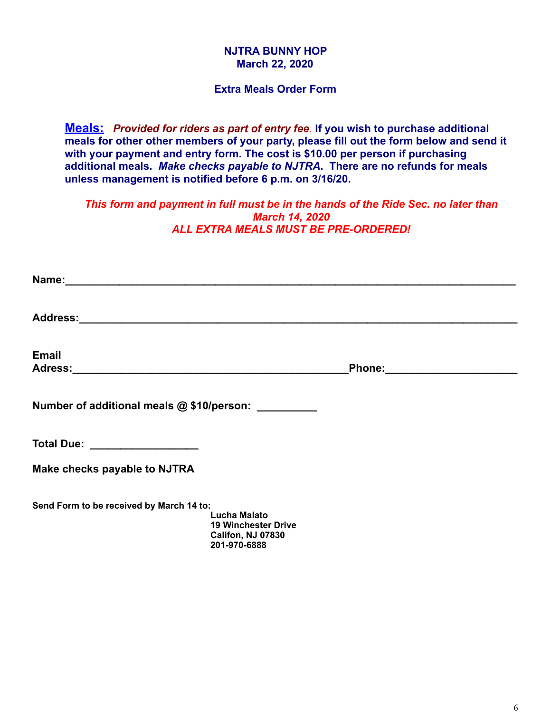#### **NJTRA BUNNY HOP March 22, 2020**

#### **Extra Meals Order Form**

**Meals:** *Provided for riders as part of entry fee*. **If you wish to purchase additional meals for other other members of your party, please fill out the form below and send it with your payment and entry form. The cost is \$10.00 per person if purchasing additional meals.** *Make checks payable to NJTRA***. There are no refunds for meals unless management is notified before 6 p.m. on 3/16/20.** 

*This form and payment in full must be in the hands of the Ride Sec. no later than March 14, 2020 ALL EXTRA MEALS MUST BE PRE-ORDERED!* 

| <b>Email</b>                                         |                                                                               | Phone: ________________________ |  |
|------------------------------------------------------|-------------------------------------------------------------------------------|---------------------------------|--|
| Number of additional meals @ \$10/person: __________ |                                                                               |                                 |  |
| Total Due: __________________                        |                                                                               |                                 |  |
| Make checks payable to NJTRA                         |                                                                               |                                 |  |
| Send Form to be received by March 14 to:             | <b>Lucha Malato</b><br><b>19 Winchester Drive</b><br><b>Califon, NJ 07830</b> |                                 |  |

 **201-970-6888**